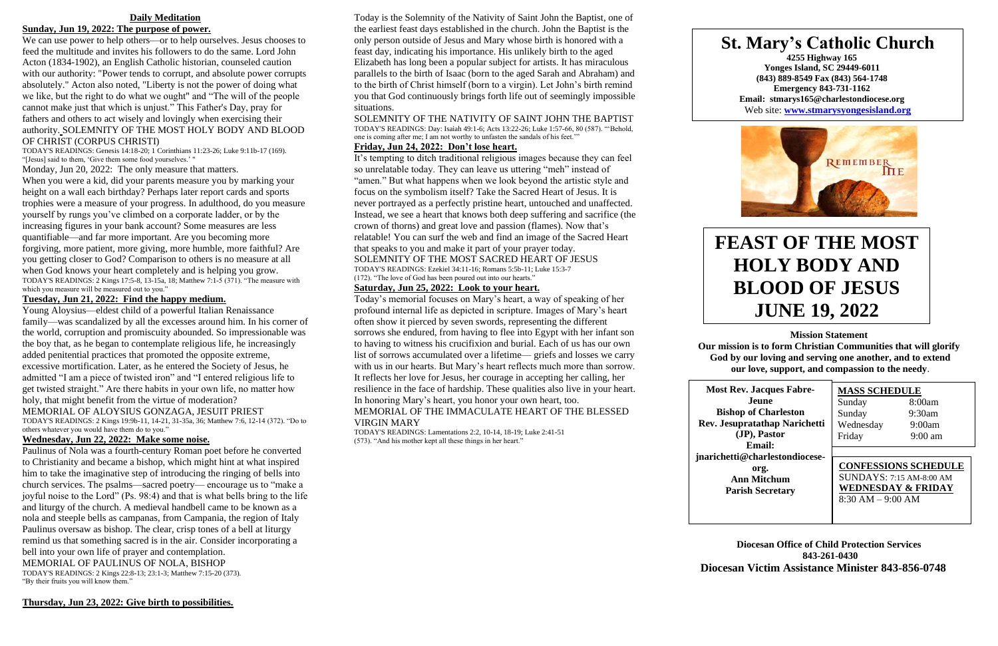## **Daily Meditation**

## **Sunday, Jun 19, 2022: The purpose of power.**

We can use power to help others—or to help ourselves. Jesus chooses to feed the multitude and invites his followers to do the same. Lord John Acton (1834-1902), an English Catholic historian, counseled caution with our authority: "Power tends to corrupt, and absolute power corrupts absolutely." Acton also noted, "Liberty is not the power of doing what we like, but the right to do what we ought" and "The will of the people cannot make just that which is unjust." This Father's Day, pray for fathers and others to act wisely and lovingly when exercising their authority. SOLEMNITY OF THE MOST HOLY BODY AND BLOOD OF CHRIST (CORPUS CHRISTI)

TODAY'S READINGS: Genesis 14:18-20; 1 Corinthians 11:23-26; Luke 9:11b-17 (169). "[Jesus] said to them, 'Give them some food yourselves.' "

Monday, Jun 20, 2022: The only measure that matters.

When you were a kid, did your parents measure you by marking your height on a wall each birthday? Perhaps later report cards and sports trophies were a measure of your progress. In adulthood, do you measure yourself by rungs you've climbed on a corporate ladder, or by the increasing figures in your bank account? Some measures are less quantifiable—and far more important. Are you becoming more forgiving, more patient, more giving, more humble, more faithful? Are you getting closer to God? Comparison to others is no measure at all when God knows your heart completely and is helping you grow. TODAY'S READINGS: 2 Kings 17:5-8, 13-15a, 18; Matthew 7:1-5 (371). "The measure with which you measure will be measured out to you."

#### **Tuesday, Jun 21, 2022: Find the happy medium.**

Young Aloysius—eldest child of a powerful Italian Renaissance family—was scandalized by all the excesses around him. In his corner of the world, corruption and promiscuity abounded. So impressionable was the boy that, as he began to contemplate religious life, he increasingly added penitential practices that promoted the opposite extreme, excessive mortification. Later, as he entered the Society of Jesus, he admitted "I am a piece of twisted iron" and "I entered religious life to get twisted straight." Are there habits in your own life, no matter how holy, that might benefit from the virtue of moderation?

MEMORIAL OF ALOYSIUS GONZAGA, JESUIT PRIEST

TODAY'S READINGS: 2 Kings 19:9b-11, 14-21, 31-35a, 36; Matthew 7:6, 12-14 (372). "Do to others whatever you would have them do to you."

## **Wednesday, Jun 22, 2022: Make some noise.**

Paulinus of Nola was a fourth-century Roman poet before he converted to Christianity and became a bishop, which might hint at what inspired him to take the imaginative step of introducing the ringing of bells into church services. The psalms—sacred poetry— encourage us to "make a joyful noise to the Lord" (Ps. 98:4) and that is what bells bring to the life and liturgy of the church. A medieval handbell came to be known as a nola and steeple bells as campanas, from Campania, the region of Italy Paulinus oversaw as bishop. The clear, crisp tones of a bell at liturgy remind us that something sacred is in the air. Consider incorporating a bell into your own life of prayer and contemplation. MEMORIAL OF PAULINUS OF NOLA, BISHOP TODAY'S READINGS: 2 Kings 22:8-13; 23:1-3; Matthew 7:15-20 (373). "By their fruits you will know them."

**Thursday, Jun 23, 2022: Give birth to possibilities.**

Today is the Solemnity of the Nativity of Saint John the Baptist, one of the earliest feast days established in the church. John the Baptist is the only person outside of Jesus and Mary whose birth is honored with a feast day, indicating his importance. His unlikely birth to the aged Elizabeth has long been a popular subject for artists. It has miraculous parallels to the birth of Isaac (born to the aged Sarah and Abraham) and to the birth of Christ himself (born to a virgin). Let John's birth remind you that God continuously brings forth life out of seemingly impossible situations.

SOLEMNITY OF THE NATIVITY OF SAINT JOHN THE BAPTIST TODAY'S READINGS: Day: Isaiah 49:1-6; Acts 13:22-26; Luke 1:57-66, 80 (587). "'Behold, one is coming after me; I am not worthy to unfasten the sandals of his feet.'"

## **Friday, Jun 24, 2022: Don't lose heart.**

It's tempting to ditch traditional religious images because they can feel so unrelatable today. They can leave us uttering "meh" instead of "amen." But what happens when we look beyond the artistic style and focus on the symbolism itself? Take the Sacred Heart of Jesus. It is never portrayed as a perfectly pristine heart, untouched and unaffected. Instead, we see a heart that knows both deep suffering and sacrifice (the crown of thorns) and great love and passion (flames). Now that's relatable! You can surf the web and find an image of the Sacred Heart that speaks to you and make it part of your prayer today. SOLEMNITY OF THE MOST SACRED HEART OF JESUS

TODAY'S READINGS: Ezekiel 34:11-16; Romans 5:5b-11; Luke 15:3-7 (172). "The love of God has been poured out into our hearts."

### **Saturday, Jun 25, 2022: Look to your heart.**

Today's memorial focuses on Mary's heart, a way of speaking of her profound internal life as depicted in scripture. Images of Mary's heart often show it pierced by seven swords, representing the different sorrows she endured, from having to flee into Egypt with her infant son to having to witness his crucifixion and burial. Each of us has our own list of sorrows accumulated over a lifetime— griefs and losses we carry with us in our hearts. But Mary's heart reflects much more than sorrow. It reflects her love for Jesus, her courage in accepting her calling, her resilience in the face of hardship. These qualities also live in your heart. In honoring Mary's heart, you honor your own heart, too. MEMORIAL OF THE IMMACULATE HEART OF THE BLESSED

VIRGIN MARY

TODAY'S READINGS: Lamentations 2:2, 10-14, 18-19; Luke 2:41-51 (573). "And his mother kept all these things in her heart."

**Mission Statement**

**Our mission is to form Christian Communities that will glorify God by our loving and serving one another, and to extend our love, support, and compassion to the needy**.

**Diocesan Office of Child Protection Services 843-261-0430 Diocesan Victim Assistance Minister 843-856-0748**

## **MASS SCHEDULE** Sunday 8:00am Sunday 9:30am Wednesday 9:00am Friday 9:00 am

**Most Rev. Jacques Fabre-Jeune Bishop of Charleston (JP), Pastor Email: org. Ann Mitchum Parish Secretary**

**Rev. Jesupratathap Narichetti jnarichetti@charlestondiocese-**

# **FEAST OF THE MOST HOLY BODY AND BLOOD OF JESUS JUNE 19, 2022**

## **St. Mary's Catholic Church**

**4255 Highway 165 Yonges Island, SC 29449-6011 (843) 889-8549 Fax (843) 564-1748 Emergency 843-731-1162 Email: stmarys165@charlestondiocese.org** Web site: **[www.stmarysyongesisland.org](http://www.stmarysyongesisland.org/)**



**CONFESSIONS SCHEDULE** SUNDAYS: 7:15 AM-8:00 AM **WEDNESDAY & FRIDAY** 8:30 AM – 9:00 AM